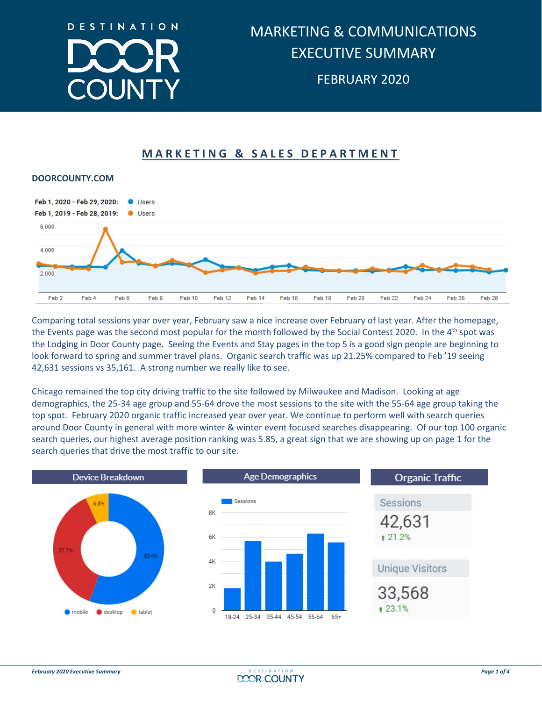

## **MARKETING & SALES DEPARTMENT**



Comparing total sessions year over year, February saw a nice increase over February of last year. After the homepage, the Events page was the second most popular for the month followed by the Social Contest 2020. In the 4<sup>th</sup> spot was the Lodging in Door County page. Seeing the Events and Stay pages in the top 5 is a good sign people are beginning to look forward to spring and summer travel plans. Organic search traffic was up 21.25% compared to Feb '19 seeing 42,631 sessions vs 35,161. A strong number we really like to see.

Chicago remained the top city driving traffic to the site followed by Milwaukee and Madison. Looking at age demographics, the 25-34 age group and 55-64 drove the most sessions to the site with the 55-64 age group taking the top spot. February 2020 organic traffic increased year over year. We continue to perform well with search queries around Door County in general with more winter & winter event focused searches disappearing. Of our top 100 organic search queries, our highest average position ranking was 5.85, a great sign that we are showing up on page 1 for the search queries that drive the most traffic to our site.





| <b>Organic Traffic</b>        |  |  |  |  |  |  |  |  |
|-------------------------------|--|--|--|--|--|--|--|--|
| Sessions<br>42,631<br>₹ 21.2% |  |  |  |  |  |  |  |  |
| <b>Unique Visitors</b>        |  |  |  |  |  |  |  |  |
| 33,568<br>● 23.1%             |  |  |  |  |  |  |  |  |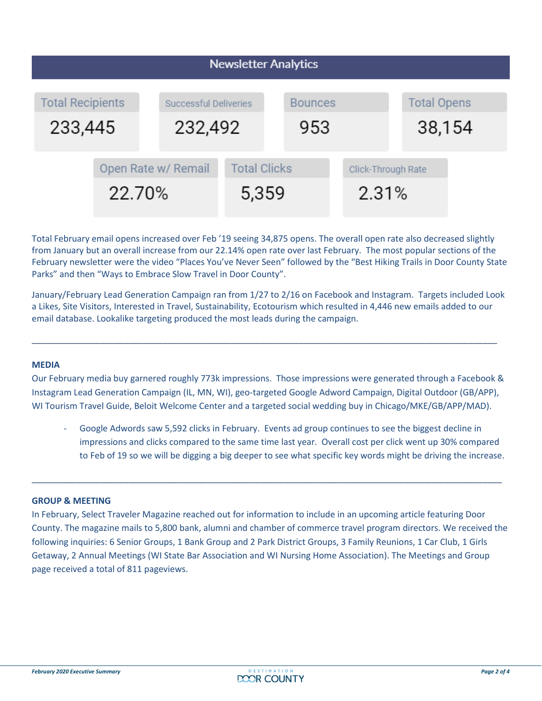| <b>Newsletter Analytics</b>        |                               |  |                                         |  |                             |  |                              |  |  |  |
|------------------------------------|-------------------------------|--|-----------------------------------------|--|-----------------------------|--|------------------------------|--|--|--|
| <b>Total Recipients</b><br>233,445 |                               |  | <b>Successful Deliveries</b><br>232,492 |  | <b>Bounces</b><br>953       |  | <b>Total Opens</b><br>38,154 |  |  |  |
|                                    | Open Rate w/ Remail<br>22.70% |  | <b>Total Clicks</b><br>5,359            |  | Click-Through Rate<br>2.31% |  |                              |  |  |  |

Total February email opens increased over Feb '19 seeing 34,875 opens. The overall open rate also decreased slightly from January but an overall increase from our 22.14% open rate over last February. The most popular sections of the February newsletter were the video "Places You've Never Seen" followed by the "Best Hiking Trails in Door County State Parks" and then "Ways to Embrace Slow Travel in Door County".

January/February Lead Generation Campaign ran from 1/27 to 2/16 on Facebook and Instagram. Targets included Look a Likes, Site Visitors, Interested in Travel, Sustainability, Ecotourism which resulted in 4,446 new emails added to our email database. Lookalike targeting produced the most leads during the campaign.

\_\_\_\_\_\_\_\_\_\_\_\_\_\_\_\_\_\_\_\_\_\_\_\_\_\_\_\_\_\_\_\_\_\_\_\_\_\_\_\_\_\_\_\_\_\_\_\_\_\_\_\_\_\_\_\_\_\_\_\_\_\_\_\_\_\_\_\_\_\_\_\_\_\_\_\_\_\_\_\_\_\_\_\_\_\_\_\_\_\_\_\_\_\_\_\_

### **MEDIA**

Our February media buy garnered roughly 773k impressions. Those impressions were generated through a Facebook & Instagram Lead Generation Campaign (IL, MN, WI), geo-targeted Google Adword Campaign, Digital Outdoor (GB/APP), WI Tourism Travel Guide, Beloit Welcome Center and a targeted social wedding buy in Chicago/MKE/GB/APP/MAD).

Google Adwords saw 5,592 clicks in February. Events ad group continues to see the biggest decline in impressions and clicks compared to the same time last year. Overall cost per click went up 30% compared to Feb of 19 so we will be digging a big deeper to see what specific key words might be driving the increase.

#### **GROUP & MEETING**

In February, Select Traveler Magazine reached out for information to include in an upcoming article featuring Door County. The magazine mails to 5,800 bank, alumni and chamber of commerce travel program directors. We received the following inquiries: 6 Senior Groups, 1 Bank Group and 2 Park District Groups, 3 Family Reunions, 1 Car Club, 1 Girls Getaway, 2 Annual Meetings (WI State Bar Association and WI Nursing Home Association). The Meetings and Group page received a total of 811 pageviews.

\_\_\_\_\_\_\_\_\_\_\_\_\_\_\_\_\_\_\_\_\_\_\_\_\_\_\_\_\_\_\_\_\_\_\_\_\_\_\_\_\_\_\_\_\_\_\_\_\_\_\_\_\_\_\_\_\_\_\_\_\_\_\_\_\_\_\_\_\_\_\_\_\_\_\_\_\_\_\_\_\_\_\_\_\_\_\_\_\_\_\_\_\_\_\_\_\_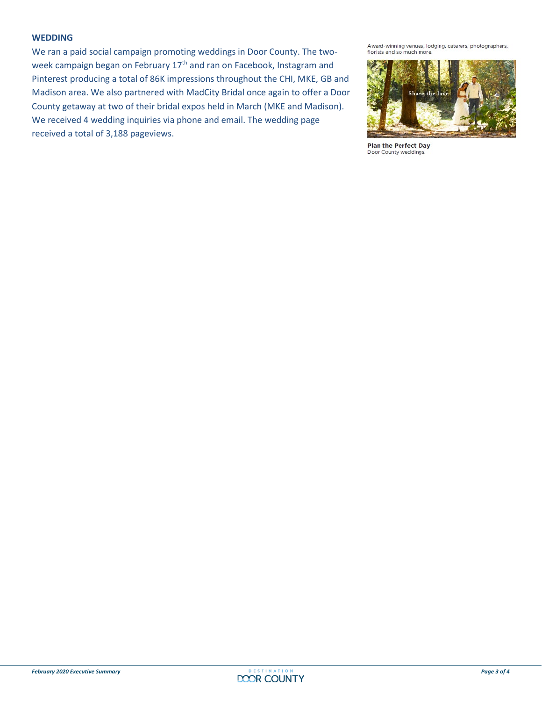#### **WEDDING**

We ran a paid social campaign promoting weddings in Door County. The twoweek campaign began on February 17<sup>th</sup> and ran on Facebook, Instagram and Pinterest producing a total of 86K impressions throughout the CHI, MKE, GB and Madison area. We also partnered with MadCity Bridal once again to offer a Door County getaway at two of their bridal expos held in March (MKE and Madison). We received 4 wedding inquiries via phone and email. The wedding page received a total of 3,188 pageviews.

Award-winning venues, lodging, caterers, photographers, florists and so much more.



**Plan the Perfect Day** Door County weddings.